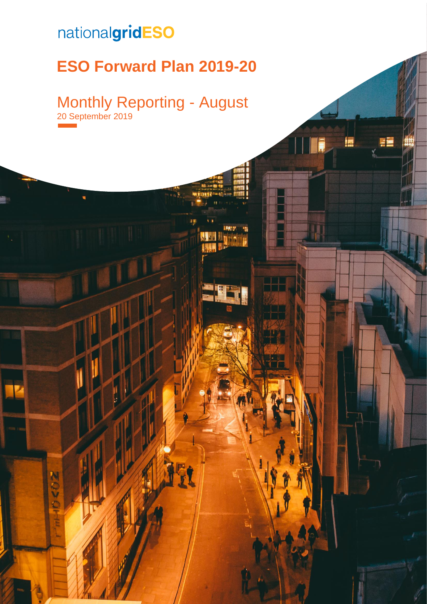## nationalgridESO

nenz

## **ESO Forward Plan 2019-20**

## Monthly Reporting - August 20 September 2019

FĒ

**20 September 2019 | Error 2019 | Error 2019 | Archives of specified style in document.** 0.000 | ERROR 2019 | ERROR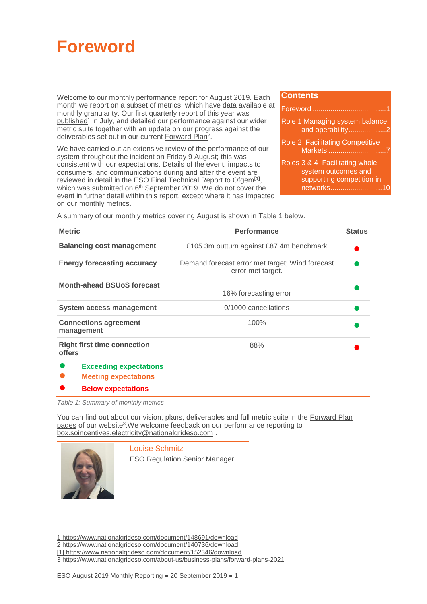<span id="page-1-1"></span>

Welcome to our monthly performance report for August 2019. Each month we report on a subset of metrics, which have data available at monthly granularity. Our first quarterly report of this year was [published](https://www.nationalgrideso.com/document/148691/download)<sup>1</sup> in July, and detailed our performance against our wider metric suite together with an update on our progress against the deliverables set out in our current [Forward Plan](https://www.nationalgrideso.com/document/140736/download)<sup>2</sup>.

We have carried out an extensive review of the performance of our system throughout the incident on Friday 9 August; this was consistent with our expectations. Details of the event, impacts to consumers, and communications during and after the event are reviewed in detail in the [ESO Final Technical Report](https://www.nationalgrideso.com/document/152346/download) to Ofgem**[1]** , which was submitted on 6<sup>th</sup> September 2019. We do not cover the event in further detail within this report, except where it has impacted on our monthly metrics.

#### **Contents**

| Role 1 Managing system balance<br>and operability2                                              |
|-------------------------------------------------------------------------------------------------|
| Role 2 Facilitating Competitive                                                                 |
| Roles 3 & 4 Facilitating whole<br>system outcomes and<br>supporting competition in<br>networks1 |

A summary of our monthly metrics covering August is shown in [Table 1](#page-1-0) below.

| <b>Metric</b>                                                | <b>Performance</b>                                                   | <b>Status</b> |
|--------------------------------------------------------------|----------------------------------------------------------------------|---------------|
| <b>Balancing cost management</b>                             | £105.3m outturn against £87.4m benchmark                             |               |
| <b>Energy forecasting accuracy</b>                           | Demand forecast error met target; Wind forecast<br>error met target. |               |
| <b>Month-ahead BSUoS forecast</b>                            | 16% forecasting error                                                |               |
| <b>System access management</b>                              | 0/1000 cancellations                                                 |               |
| <b>Connections agreement</b><br>management                   | 100%                                                                 |               |
| <b>Right first time connection</b><br><b>offers</b>          | 88%                                                                  |               |
| <b>Exceeding expectations</b><br><b>Meeting expectations</b> |                                                                      |               |

**● Below expectations**

<span id="page-1-0"></span>*Table 1: Summary of monthly metrics*

You can find out about our vision, plans, deliverables and full metric suite in the Forward Plan [pages](https://www.nationalgrideso.com/about-us/business-plans/forward-plans-2021) of our website<sup>3</sup>. We welcome feedback on our performance reporting to [box.soincentives.electricity@nationalgrideso.com](mailto:box.soincentives.electricity@nationalgrideso.com) .



 $\overline{a}$ 

Louise Schmitz

ESO Regulation Senior Manager

<sup>1</sup> <https://www.nationalgrideso.com/document/148691/download>

<sup>2</sup> <https://www.nationalgrideso.com/document/140736/download>

<sup>[1]</sup><https://www.nationalgrideso.com/document/152346/download>

<sup>3</sup> <https://www.nationalgrideso.com/about-us/business-plans/forward-plans-2021>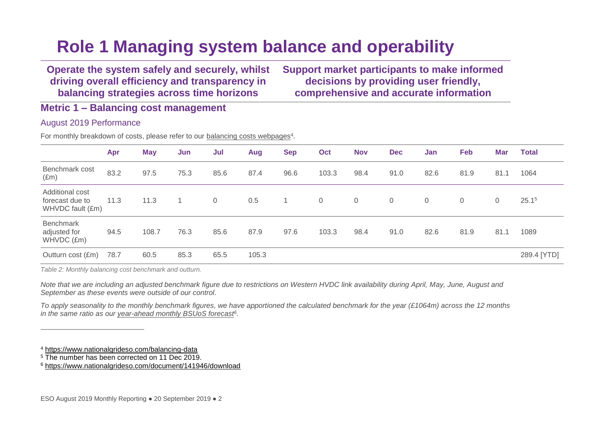## **Role 1 Managing system balance and operability**

**Operate the system safely and securely, whilst driving overall efficiency and transparency in balancing strategies across time horizons**

**Support market participants to make informed decisions by providing user friendly, comprehensive and accurate information**

**Metric 1 – Balancing cost management**

### August 2019 Performance

For monthly breakdown of costs, please refer to our **balancing costs webpages**<sup>4</sup>.

<span id="page-2-0"></span>

|                                                        | Apr  | <b>May</b> | Jun  | Jul            | Aug   | <b>Sep</b> | Oct            | <b>Nov</b>   | <b>Dec</b> | Jan  | Feb            | <b>Mar</b>     | <b>Total</b>      |
|--------------------------------------------------------|------|------------|------|----------------|-------|------------|----------------|--------------|------------|------|----------------|----------------|-------------------|
| Benchmark cost<br>$(\text{Em})$                        | 83.2 | 97.5       | 75.3 | 85.6           | 87.4  | 96.6       | 103.3          | 98.4         | 91.0       | 82.6 | 81.9           | 81.1           | 1064              |
| Additional cost<br>forecast due to<br>WHVDC fault (£m) | 11.3 | 11.3       |      | $\overline{0}$ | 0.5   |            | $\overline{0}$ | $\mathbf{0}$ | 0          | 0    | $\overline{0}$ | $\overline{0}$ | 25.1 <sup>5</sup> |
| <b>Benchmark</b><br>adjusted for<br>WHVDC (£m)         | 94.5 | 108.7      | 76.3 | 85.6           | 87.9  | 97.6       | 103.3          | 98.4         | 91.0       | 82.6 | 81.9           | 81.1           | 1089              |
| Outturn cost (£m)                                      | 78.7 | 60.5       | 85.3 | 65.5           | 105.3 |            |                |              |            |      |                |                | 289.4 [YTD]       |

*Table 2: Monthly balancing cost benchmark and outturn.*

*Note that we are including an adjusted benchmark figure due to restrictions on Western HVDC link availability during April, May, June, August and September as these events were outside of our control.*

*To apply seasonality to the monthly benchmark figures, we have apportioned the calculated benchmark for the year (£1064m) across the 12 months in the same ratio as our [year-ahead monthly BSUoS forecast](https://www.nationalgrideso.com/document/141946/download)<sup>6</sup> .*

 $\overline{a}$ 

<sup>4</sup> <https://www.nationalgrideso.com/balancing-data>

<sup>5</sup> The number has been corrected on 11 Dec 2019.

<sup>6</sup> <https://www.nationalgrideso.com/document/141946/download>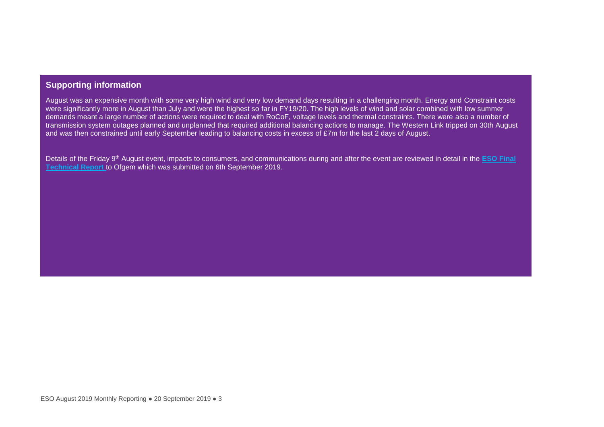## **Supporting information**

August was an expensive month with some very high wind and very low demand days resulting in a challenging month. Energy and Constraint costs were significantly more in August than July and were the highest so far in FY19/20. The high levels of wind and solar combined with low summer demands meant a large number of actions were required to deal with RoCoF, voltage levels and thermal constraints. There were also a number of transmission system outages planned and unplanned that required additional balancing actions to manage. The Western Link tripped on 30th August and was then constrained until early September leading to balancing costs in excess of £7m for the last 2 days of August.

Details of the Friday 9th August event, impacts to consumers, and communications during and after the event are reviewed in detail in the **[ESO Final](https://www.nationalgrideso.com/document/152346/download)  [Technical Report](https://www.nationalgrideso.com/document/152346/download)** to Ofgem which was submitted on 6th September 2019.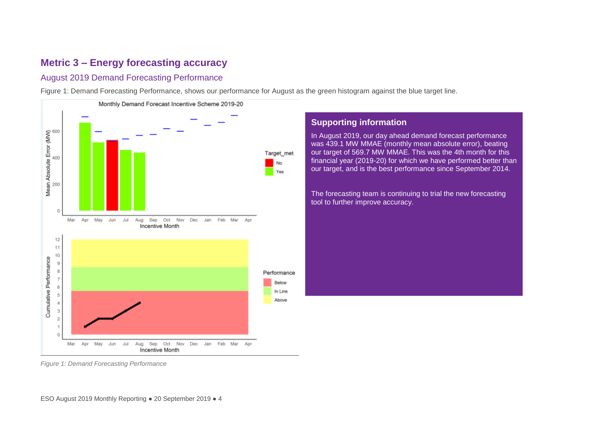## **Metric 3 – Energy forecasting accuracy**

## August 2019 Demand Forecasting Performance

[Figure 1: Demand Forecasting Performance,](#page-4-0) shows our performance for August as the green histogram against the blue target line.



## **Supporting information**

In August 2019, our day ahead demand forecast performance was 439.1 MW MMAE (monthly mean absolute error), beating our target of 569.7 MW MMAE. This was the 4th month for this financial year (2019-20) for which we have performed better than our target, and is the best performance since September 2014.

The forecasting team is continuing to trial the new forecasting tool to further improve accuracy.

<span id="page-4-0"></span>*Figure 1: Demand Forecasting Performance*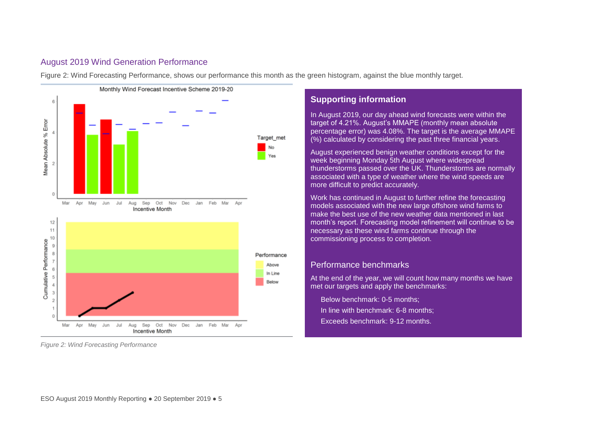## August 2019 Wind Generation Performance

[Figure 2: Wind Forecasting Performance,](#page-5-0) shows our performance this month as the green histogram, against the blue monthly target.



<span id="page-5-0"></span>*Figure 2: Wind Forecasting Performance*

## **Supporting information**

In August 2019, our day ahead wind forecasts were within the target of 4.21%. August's MMAPE (monthly mean absolute percentage error) was 4.08%. The target is the average MMAPE (%) calculated by considering the past three financial years.

August experienced benign weather conditions except for the week beginning Monday 5th August where widespread thunderstorms passed over the UK. Thunderstorms are normally associated with a type of weather where the wind speeds are more difficult to predict accurately.

Work has continued in August to further refine the forecasting models associated with the new large offshore wind farms to make the best use of the new weather data mentioned in last month's report. Forecasting model refinement will continue to be necessary as these wind farms continue through the commissioning process to completion.

### Performance benchmarks

At the end of the year, we will count how many months we have met our targets and apply the benchmarks:

Below benchmark: 0-5 months; In line with benchmark: 6-8 months; Exceeds benchmark: 9-12 months.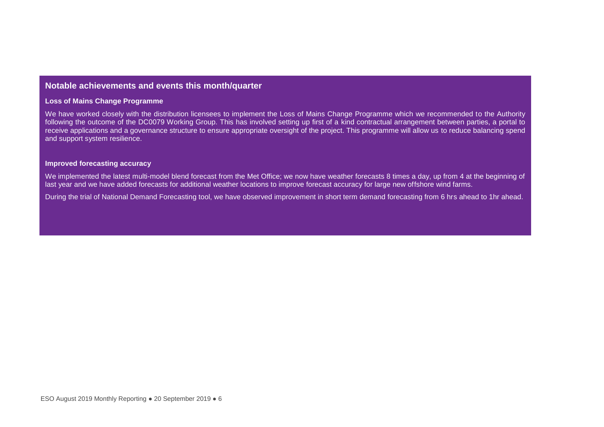### **Notable achievements and events this month/quarter**

#### **Loss of Mains Change Programme**

We have worked closely with the distribution licensees to implement the Loss of Mains Change Programme which we recommended to the Authority following the outcome of the DC0079 Working Group. This has involved setting up first of a kind contractual arrangement between parties, a portal to receive applications and a governance structure to ensure appropriate oversight of the project. This programme will allow us to reduce balancing spend and support system resilience.

#### **Improved forecasting accuracy**

We implemented the latest multi-model blend forecast from the Met Office; we now have weather forecasts 8 times a day, up from 4 at the beginning of last year and we have added forecasts for additional weather locations to improve forecast accuracy for large new offshore wind farms.

During the trial of National Demand Forecasting tool, we have observed improvement in short term demand forecasting from 6 hrs ahead to 1hr ahead.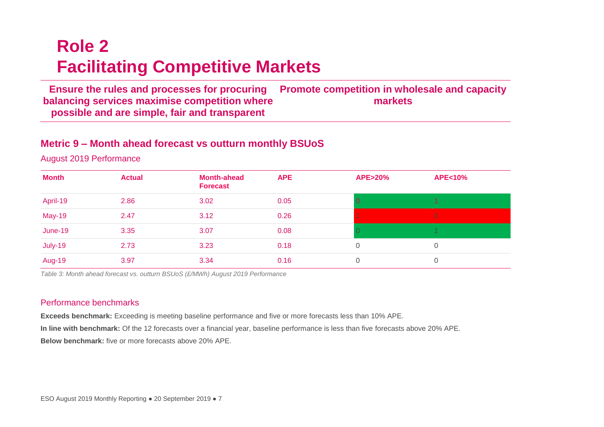# **Role 2 Facilitating Competitive Markets**

**Ensure the rules and processes for procuring balancing services maximise competition where possible and are simple, fair and transparent Promote competition in wholesale and capacity markets**

## **Metric 9 – Month ahead forecast vs outturn monthly BSUoS**

August 2019 Performance

<span id="page-7-0"></span>

| <b>Month</b>  | <b>Actual</b> | <b>Month-ahead</b><br><b>Forecast</b> | <b>APE</b> | <b>APE&gt;20%</b> | <b>APE&lt;10%</b> |
|---------------|---------------|---------------------------------------|------------|-------------------|-------------------|
| April-19      | 2.86          | 3.02                                  | 0.05       |                   |                   |
| <b>May-19</b> | 2.47          | 3.12                                  | 0.26       |                   | $\overline{0}$    |
| June-19       | 3.35          | 3.07                                  | 0.08       |                   |                   |
| July-19       | 2.73          | 3.23                                  | 0.18       | 0                 |                   |
| <b>Aug-19</b> | 3.97          | 3.34                                  | 0.16       | 0                 |                   |

*Table 3: Month ahead forecast vs. outturn BSUoS (£/MWh) August 2019 Performance*

### Performance benchmarks

**Exceeds benchmark:** Exceeding is meeting baseline performance and five or more forecasts less than 10% APE. **In line with benchmark:** Of the 12 forecasts over a financial year, baseline performance is less than five forecasts above 20% APE. **Below benchmark:** five or more forecasts above 20% APE.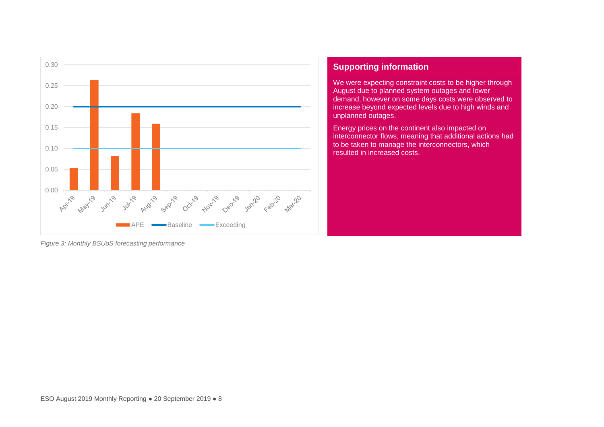

## **Supporting information**

We were expecting constraint costs to be higher through August due to planned system outages and lower demand, however on some days costs were observed to increase beyond expected levels due to high winds and unplanned outages.

Energy prices on the continent also impacted on interconnector flows, meaning that additional actions had to be taken to manage the interconnectors, which resulted in increased costs.

*Figure 3: Monthly BSUoS forecasting performance*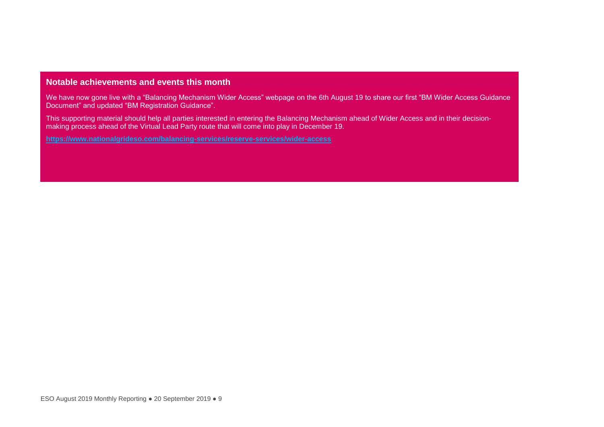### **Notable achievements and events this month**

We have now gone live with a "Balancing Mechanism Wider Access" webpage on the 6th August 19 to share our first "BM Wider Access Guidance Document" and updated "BM Registration Guidance".

This supporting material should help all parties interested in entering the Balancing Mechanism ahead of Wider Access and in their decisionmaking process ahead of the Virtual Lead Party route that will come into play in December 19.

**<https://www.nationalgrideso.com/balancing-services/reserve-services/wider-access>**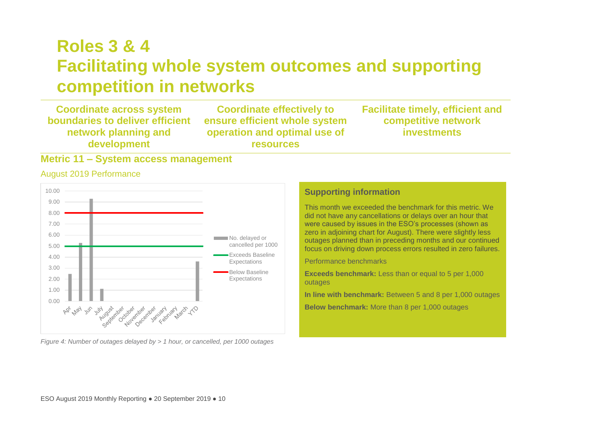## **Roles 3 & 4 Facilitating whole system outcomes and supporting competition in networks**

**Coordinate across system boundaries to deliver efficient network planning and development**

**Coordinate effectively to ensure efficient whole system operation and optimal use of resources**

**Facilitate timely, efficient and competitive network investments**

## **Metric 11 – System access management**

#### August 2019 Performance

<span id="page-10-0"></span>

*Figure 4: Number of outages delayed by > 1 hour, or cancelled, per 1000 outages* 

## **Supporting information**

This month we exceeded the benchmark for this metric. We did not have any cancellations or delays over an hour that were caused by issues in the ESO's processes (shown as zero in adjoining chart for August). There were slightly less outages planned than in preceding months and our continued focus on driving down process errors resulted in zero failures.

Performance benchmarks

**Exceeds benchmark:** Less than or equal to 5 per 1,000 outages

**In line with benchmark:** Between 5 and 8 per 1,000 outages

**Below benchmark:** More than 8 per 1,000 outages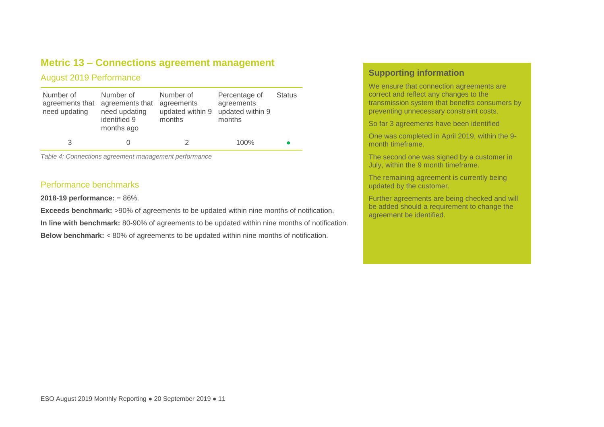## **Metric 13 – Connections agreement management**

### August 2019 Performance

| Number of<br>agreements that<br>need updating | Number of<br>agreements that<br>need updating<br>identified 9<br>months ago | Number of<br>agreements<br>updated within 9<br>months | Percentage of<br>agreements<br>updated within 9<br>months | <b>Status</b> |
|-----------------------------------------------|-----------------------------------------------------------------------------|-------------------------------------------------------|-----------------------------------------------------------|---------------|
|                                               |                                                                             |                                                       | 100%                                                      |               |

*Table 4: Connections agreement management performance*

#### Performance benchmarks

**2018-19 performance:** = 86%.

**Exceeds benchmark:** >90% of agreements to be updated within nine months of notification.

**In line with benchmark:** 80-90% of agreements to be updated within nine months of notification.

**Below benchmark:** < 80% of agreements to be updated within nine months of notification.

## **Supporting information**

We ensure that connection agreements are correct and reflect any changes to the transmission system that benefits consumers by preventing unnecessary constraint costs.

So far 3 agreements have been identified

One was completed in April 2019, within the 9 month timeframe.

The second one was signed by a customer in July, within the 9 month timeframe.

The remaining agreement is currently being updated by the customer.

Further agreements are being checked and will be added should a requirement to change the agreement be identified.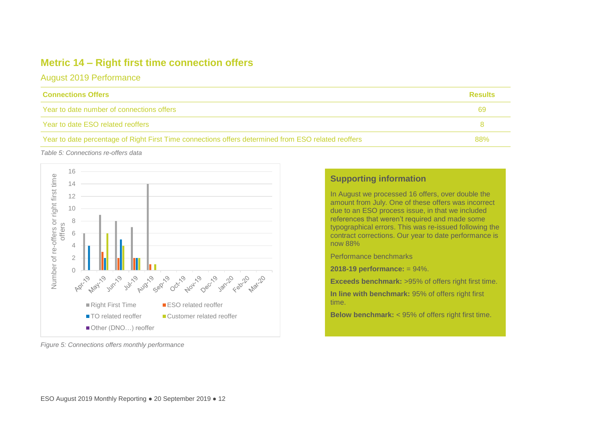## **Metric 14 – Right first time connection offers**

August 2019 Performance

| <b>Connections Offers</b>                                                                           | <b>Results</b> |
|-----------------------------------------------------------------------------------------------------|----------------|
| Year to date number of connections offers                                                           |                |
| Year to date ESO related reoffers                                                                   |                |
| Year to date percentage of Right First Time connections offers determined from ESO related reoffers | <b>88%</b>     |

*Table 5: Connections re-offers data*



## **Supporting information**

In August we processed 16 offers, over double the amount from July. One of these offers was incorrect due to an ESO process issue, in that we included references that weren't required and made some typographical errors. This was re-issued following the contract corrections. Our year to date performance is now 88%

Performance benchmarks

**2018-19 performance:** = 94%.

**Exceeds benchmark:** >95% of offers right first time.

**In line with benchmark:** 95% of offers right first time.

**Below benchmark:** < 95% of offers right first time.

*Figure 5: Connections offers monthly performance*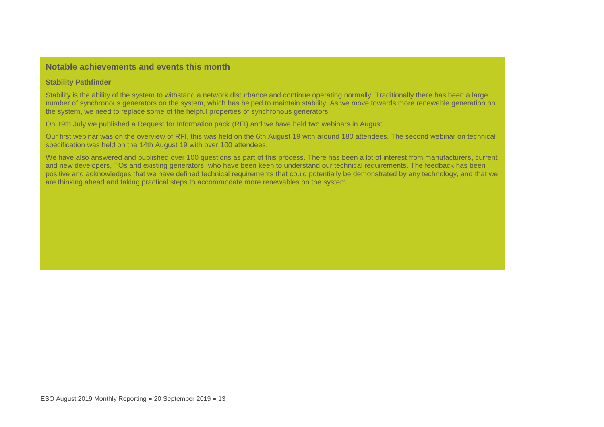### **Notable achievements and events this month**

#### **Stability Pathfinder**

Stability is the ability of the system to withstand a network disturbance and continue operating normally. Traditionally there has been a large number of synchronous generators on the system, which has helped to maintain stability. As we move towards more renewable generation on the system, we need to replace some of the helpful properties of synchronous generators.

On 19th July we published a Request for Information pack (RFI) and we have held two webinars in August.

Our first webinar was on the overview of RFI, this was held on the 6th August 19 with around 180 attendees. The second webinar on technical specification was held on the 14th August 19 with over 100 attendees.

We have also answered and published over 100 questions as part of this process. There has been a lot of interest from manufacturers, current and new developers, TOs and existing generators, who have been keen to understand our technical requirements. The feedback has been positive and acknowledges that we have defined technical requirements that could potentially be demonstrated by any technology, and that we are thinking ahead and taking practical steps to accommodate more renewables on the system.